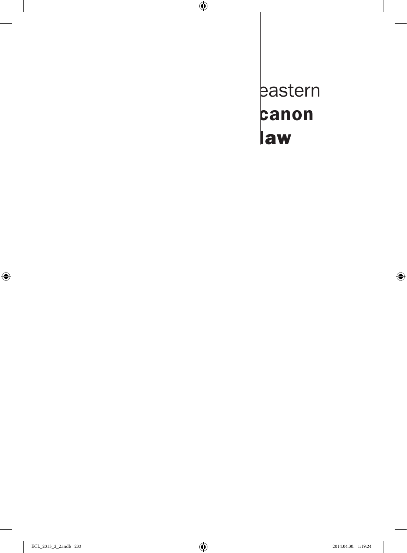eastern canon law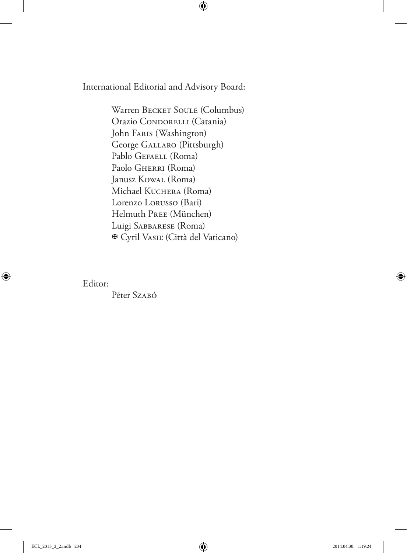International Editorial and Advisory Board:

Warren BECKET SOULE (Columbus) Orazio CONDORELLI (Catania) John Faris (Washington) George Gallaro (Pittsburgh) Pablo GEFAELL (Roma) Paolo GHERRI (Roma) Janusz Kowal (Roma) Michael KUCHERA (Roma) Lorenzo Lorusso (Bari) Helmuth Pree (München) Luigi Sabbarese (Roma) Cyril Vasiľ (Città del Vaticano)

Editor:

Péter Szabó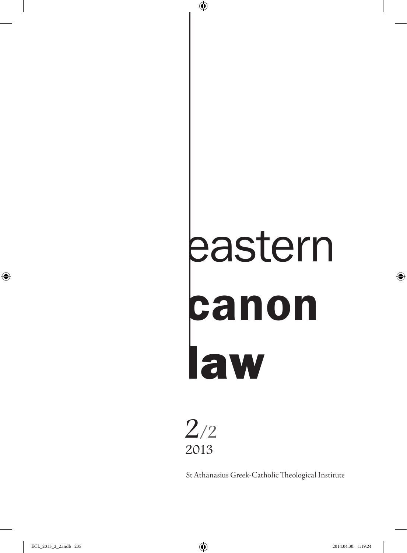# eastern canon law



St Athanasius Greek-Catholic Theological Institute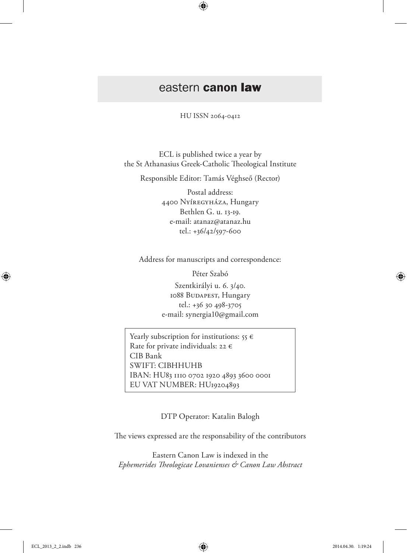# eastern canon law

HU ISSN 2064-0412

ECL is published twice a year by the St Athanasius Greek-Catholic Theological Institute

Responsible Editor: Tamás Véghseő (Rector)

Postal address: 4400 Nyíregyháza, Hungary Bethlen G. u. 13-19. e-mail: atanaz@atanaz.hu tel.: +36/42/597-600

Address for manuscripts and correspondence:

Péter Szabó

Szentkirályi u. 6. 3/40. 1088 BUDAPEST, Hungary tel.: +36 30 498-3705 e-mail: synergia10@gmail.com

Yearly subscription for institutions:  $55 \in$ Rate for private individuals: 22  $\epsilon$ CIB Bank SWIFT: CIBHHUHB IBAN: HU83 1110 0702 1920 4893 3600 0001 EU VAT NUMBER: HU19204893

DTP Operator: Katalin Balogh

The views expressed are the responsability of the contributors

Eastern Canon Law is indexed in the *Ephemerides Theologicae Lovanienses & Canon Law Abstract*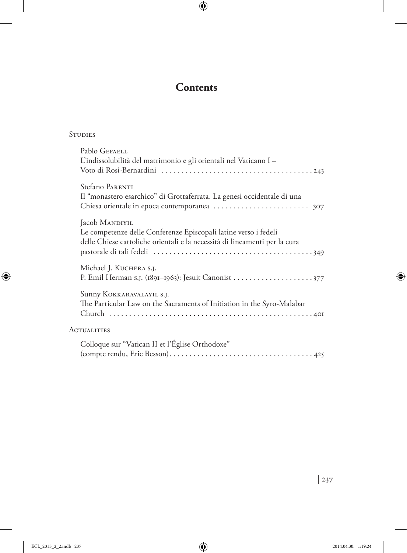# **Contents**

### **STUDIES**

| Pablo GEFAELL<br>L'indissolubilità del matrimonio e gli orientali nel Vaticano I -                                                                              |
|-----------------------------------------------------------------------------------------------------------------------------------------------------------------|
| Stefano PARENTI<br>Il "monastero esarchico" di Grottaferrata. La genesi occidentale di una                                                                      |
| Jacob MANDIYIL<br>Le competenze delle Conferenze Episcopali latine verso i fedeli<br>delle Chiese cattoliche orientali e la necessità di lineamenti per la cura |
| Michael J. KUCHERA S.J.                                                                                                                                         |
| Sunny KOKKARAVALAYIL S.J.<br>The Particular Law on the Sacraments of Initiation in the Syro-Malabar                                                             |
| <b>ACTUALITIES</b>                                                                                                                                              |
| Colloque sur "Vatican II et l'Église Orthodoxe"                                                                                                                 |